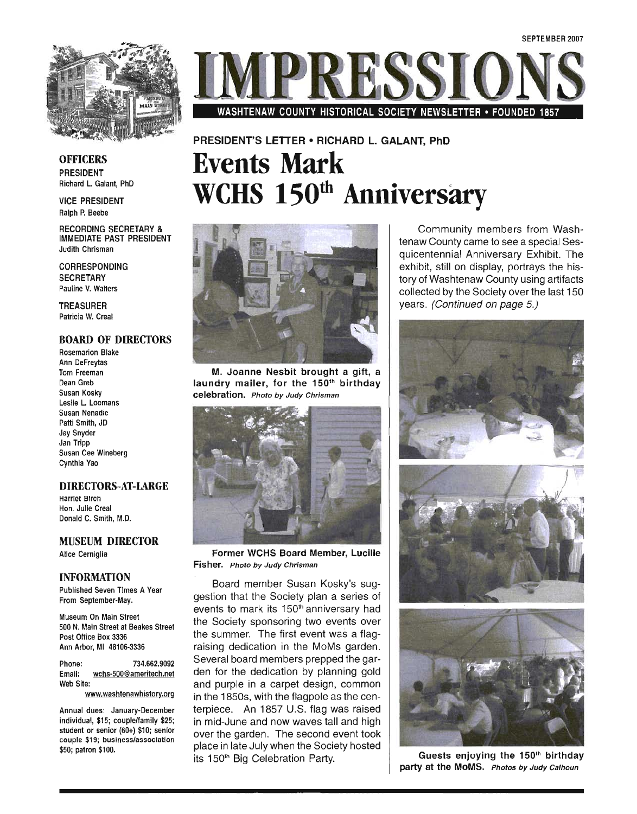

WASHTENAW COUNTY HISTORICAL SOCIETY NEWSLETTER • FOUNDED 1857

#### **OFFICERS** PRESIDENT Richard L. Galant, PhD

VICE PRESIDENT Ralph P. Beebe

RECORDING SECRETARY & IMMEDIATE PAST PRESIDENT Judith Chrisman

CORRESPONDING **SECRETARY** Pauline V. Walters

TREASURER Patricia W. Creal

#### BOARD OF DIRECTORS

**Rosemarion Blake** Ann DeFreytas Tom Freeman Dean Greb Susan Kosky Leslie L. Loomans Susan Nenadic Patti Smith, JD Jay Snyder . Jan Tripp Susan Cee Wineberg Cynthia Yao

#### DIRECTORS-AT-LARGE

Harriet Birch Hon. Julie Creal Donald C. Smith, M.D.

#### MUSEUM DIRECTOR Alice Cerniglia

#### INFORMATION

Published Seven Times A Year From September-May.

Museum On Main Street 500 N. Main Street at Beakes Street Post Office Box 3336 Ann Arbor, MI 48106-3336

Phone: 734.662.9092 Email: wchs-500@ameritech.net Web Site:

www.washtenawhistory.org

Annual dues: January-December individual, \$15; couple/family \$25; student or senior (60+) \$10; senior couple \$19; business/association \$50; patron \$100.



**Events Mark** 

PRESIDENT'S LEITER • RICHARD L. GALANT, PhD

**wens 150th Anniversary** 

M. Joanne Nesbit brought a gift, a laundry mailer, for the 150<sup>th</sup> birthday celebration. Photo by Judy Chrisman



Former WCHS Board Member, Lucille Fisher. Photo by Judy Chrisman

Board member Susan Kosky's suggestion that the Society plan a series of events to mark its 150<sup>th</sup> anniversary had the Society sponsoring two events over the summer. The first event was a flagraising dedication in the MoMs garden. Several board members prepped the garden for the dedication by planning gold and purple in a carpet design, common in the 1850s, with the flagpole as the centerpiece. An 1857 U.S. flag was raised in mid-June and now waves tall and high over the garden. The second event took place in late July when the Society hosted its 150<sup>th</sup> Big Celebration Party.

Community members from Washtenaw County came to see a special Sesquicentennial Anniversary Exhibit. The exhibit, still on display, portrays the history of Washtenaw County using artifacts collected by the Society over the last 150 years. (Continued on page 5.)



Guests enjoying the  $150<sup>th</sup>$  birthday party at the MoMS. Photos by Judy Calhoun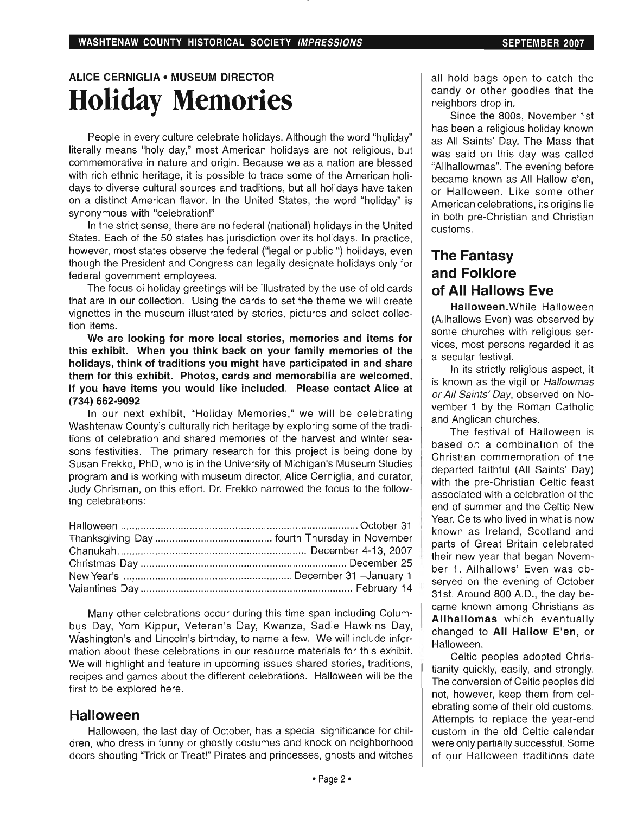## ALICE CERNIGLIA • MUSEUM DIRECTOR **Holiday Memories**

People in every culture celebrate holidays. Although the word "holiday" literally means "holy day," most American holidays are not religious, but commemorative in nature and origin. Because we as a nation are blessed with rich ethnic heritage, it is possible to trace some of the American holidays to diverse cultural sources and traditions, but all holidays have taken on a distinct American flavor. In the United States, the word "holiday" is synonymous with "celebration!"

In the strict sense, there are no federal (national) holidays in the United States. Each of the 50 states has jurisdiction over its holidays. In practice, however, most states observe the federal ("legal or public ") holidays, even though the President and Congress can legally designate holidays only for federal government employees.

The focus of holiday greetings will be illustrated by the use of old cards that are in our collection. Using the cards to set the theme we will create vignettes in the museum illustrated by stories, pictures and select collection items.

We are looking for more local stories, memories and items for this exhibit. When you think back on your family memories of the holidays, think of traditions you might have participated in and share them for this exhibit. Photos, cards and memorabilia are welcomed. If you have items you would like included. Please contact Alice at (734) 662-9092

In our next exhibit, "Holiday Memories," we will be celebrating Washtenaw County's culturally rich heritage by exploring some of the traditions of celebration and shared memories of the harvest and winter seasons festivities. The primary research for this project is being done by Susan Frekko, PhD, who is in the University of Michigan's Museum Studies program and is working with museum director, Alice Cerniglia, and curator, Judy Chrisman, on this effort. Dr. Frekko narrowed the focus to the following celebrations:

Many other celebrations occur during this time span including Columbus Day, Yom Kippur, Veteran's Day, Kwanza, Sadie Hawkins Day, Washington's and Lincoln's birthday, to name a few. We will include information about these celebrations in our resource materials for this exhibit. We will highlight and feature in upcoming issues shared stories, traditions, recipes and games about the different celebrations. Halloween will be the first to be explored here.

#### **Halloween**

Halloween, the last day of October, has a special significance for children, who dress in funny or ghostly costumes and knock on neighborhood doors shouting "Trick or Treat!" Pirates and princesses, ghosts and witches all hold bags open to catch the candy or other goodies that the neighbors drop in.

Since the 800s, November 1st has been a religious holiday known as All Saints' Day. The Mass that was said on this day was called "Allhallowmas". The evening before became known as All Hallow e'en. or Halloween. Like some other American celebrations, its origins lie in both pre-Christian and Christian customs.

### **The Fantasy and Folklore of All Hallows Eve**

Halloween. While Halloween (Allhallows Even) was observed by some churches with religious services, most persons regarded it as a secular festival.

In its strictly religious aspect, it is known as the vigil or Hallowmas or All Saints' Day, observed on November 1 by the Roman Catholic and Anglican churches.

The festival of Halloween is based or, a combination of the Christian commemoration of the departed faithful (All Saints' Day) with the pre-Christian Celtic feast associated with a celebration of the end of summer and the Celtic New Year. Celts who lived in what is now known as Ireland, Scotland and parts of Great Britain celebrated their new year that began November 1. Allhallows' Even was observed on the evening of October 31st. Around 800 A.D., the day became known among Christians as Allhallomas which eventually changed to All Hallow E'en, or Halloween.

Celtic peoples adopted Christianity quickly, easily, and strongly. The conversion of Celtic peoples did not, however, keep them from celebrating some of their old customs. Attempts to replace the year-end custom in the old Celtic calendar were only partially successful. Some of our Halloween traditions date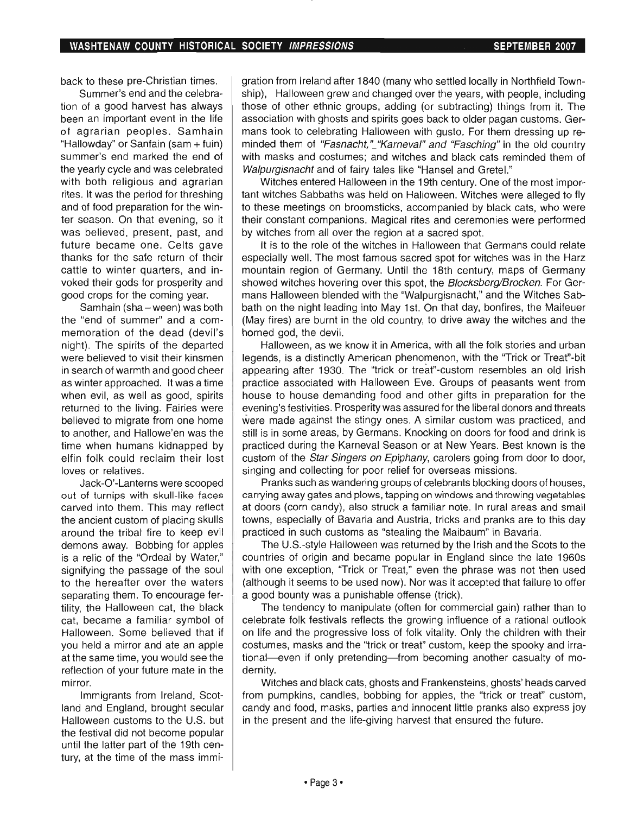back to these pre-Christian times.

Summer's end and the celebration of a good harvest has always been an important event in the life of agrarian peoples. Samhain "Hallowday" or Sanfain (sam + fuin) summer's end marked the end of the yearly cycle and was celebrated with both religious and agrarian rites. It was the period for threshing and of food preparation for the winter season. On that evening, so it was believed, present, past, and future became one. Celts gave thanks for the safe return of their cattle to winter quarters, and invoked their gods for prosperity and good crops for the coming year.

Samhain (sha - ween) was both the "end of summer" and a commemoration of the dead (devil's night). The spirits of the departed were believed to visit their kinsmen in search of warmth and good cheer as winter approached. It was a time when evil, as well as good, spirits returned to the living. Fairies were believed to migrate from one home to another, and Hallowe'en was the time when humans kidnapped by elfin folk could reclaim their lost loves or relatives.

Jack-O'-Lanterns were scooped out of turnips with skull-like faces carved into them. This may reflect the ancient custom of placing skulls around the tribal fire to keep evil demons away. Bobbing for apples is a relic of the "Ordeal by Water," signifying the passage of the soul to the hereafter over the waters separating them. To encourage fertility, the Halloween cat, the black cat, became a familiar symbol of Halloween. Some believed that if you held a mirror and ate an apple at the same time, you would see the reflection of your future mate in the mirror.

Immigrants from Ireland, Scotland and England, brought secular Halloween customs to the U.S. but the festival did not become popular until the latter part of the 19th century, at the time of the mass immigration from Ireland after 1840 (many who settled locally in Northfield Township), Halloween grew and changed over the years, with people, including those of other ethnic groups, adding (or subtracting) things from it. The association with ghosts and spirits goes back to older pagan customs. Germans took to celebrating Halloween with gusto. For them dressing up reminded them of "Fasnacht," "Karneval" and "Fasching" in the old country with masks and costumes; and witches and black cats reminded them of Walpurgisnacht and of fairy tales like "Hansel and Gretel."

Witches entered Halloween in the 19th century. One of the most important witches Sabbaths was held on Halloween. Witches were alleged to fly to these meetings on broomsticks, accompanied by black cats, who were their constant companions. Magical rites and ceremonies were performed by witches from all over the region at a sacred spot.

It is to the role of the witches in Halloween that Germans could relate especially well. The most famous sacred spot for witches was in the Harz mountain region of Germany. Until the 18th century, maps of Germany showed witches hovering over this spot, the Blocksberg/Brocken. For Germans Halloween blended with the "Walpurgisnacht," and the Witches Sabbath on the night leading into May 1st. On that day, bonfires, the Maifeuer (May fires) are burnt in the old country, to drive away the witches and the horned god, the devil.

Halloween, as we know it in America, with all the folk stories and urban legends, is a distinctly American phenomenon, with the "Trick or Treat"-bit appearing after 1930. The "trick or treat"-custom resembles an old Irish practice associated with Halloween Eve. Groups of peasants went from house to house demanding food and other gifts in preparation for the evening's festivities. Prosperity was assured for the liberal donors and threats were made against the stingy ones. A similar custom was practiced, and still is in some areas, by Germans. Knocking on doors for food and drink is practiced during the Karneval Season or at New Years. Best known is the custom of the *Star Singers on Epiphany*, carolers going from door to door, singing and collecting for poor relief for overseas missions.

Pranks such as wandering groups of celebrants blocking doors of houses, carrying away gates and plows, tapping on windows and throwing vegetables at doors (corn candy), also struck a familiar note. In rural areas and small towns, especially of Bavaria and Austria, tricks and pranks are to this day practiced in such customs as "stealing the Maibaum" in Bavaria.

The U.S.-style Halloween was returned by the Irish and the Scots to the countries of origin and became popular in England since the late 1960s with one exception, "Trick or Treat," even the phrase was not then used (although it seems to be used now). Nor was it accepted that failure to offer a good bounty was a punishable offense (trick).

The tendency to manipulate (often for commercial gain) rather than to celebrate folk festivals reflects the growing influence of a rational outlook on life and the progressive loss of folk vitality. Only the children with their costumes, masks and the "trick or treat" custom, keep the spooky and irrational-even if only pretending-from becoming another casualty of modernity.

Witches and black cats, ghosts and Frankensteins, ghosts' heads carved from pumpkins, candles, bobbing for apples, the "trick or treat" custom, candy and food, masks, parties and innocent little pranks also express joy in the present and the life-giving harvest. that ensured the future.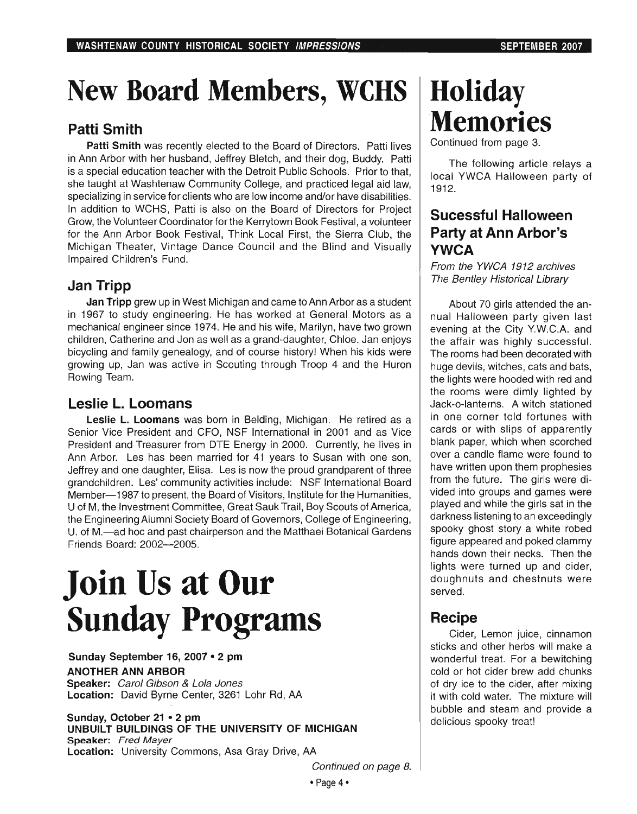## New Board Members, WCHS

### Patti Smith

Patti Smith was recently elected to the Board of Directors. Patti lives in Ann Arbor with her husband, Jeffrey Bletch, and their dog, Buddy. Patti is a special education teacher with the Detroit Public Schools. Prior to that, she taught at Washtenaw Community College, and practiced legal aid law, specializing in service for clients who are low income and/or have disabilities. In addition to WCHS, Patti is also on the Board of Directors for Project Grow, the Volunteer Coordinator for the Kerrytown Book Festival, a volunteer for the Ann Arbor Book Festival, Think Local First, the Sierra Club, the Michigan Theater, Vintage Dance Council and the Blind and Visually Impaired Children's Fund.

### Jan Tripp

Jan Tripp grew up in West Michigan and came to Ann Arbor as a student in 1967 to study engineering. He has worked at General Motors as a mechanical engineer since 1974. He and his wife, Marilyn, have two grown children, Catherine and Jon as well as a grand-daughter, Chloe. Jan enjoys bicycling and family genealogy, and of course history! When his kids were growing up, Jan was active in Scouting through Troop 4 and the Huron Rowing Team.

### Leslie L. Loomans

Leslie L. Loomans was born in Belding, Michigan. He retired as a Senior Vice President and CFO, NSF International in 2001 and as Vice President and Treasurer from DTE Energy in 2000. Currently, he lives in Ann Arbor. Les has been married for 41 years to Susan with one son, Jeffrey and one daughter, Elisa. Les is now the proud grandparent of three grandchildren. Les' community activities include: NSF International Board Member-1987 to present, the Board of Visitors, Institute for the Humanities, U of M, the Investment Committee, Great Sauk Trail, Boy Scouts of America, the Engineering Alumni Society Board of Governors, College of Engineering, U. of M.-ad hoc and past chairperson and the Matthaei Botanical Gardens Friends Board: 2002-2005.

# Join Us at Our Sunday Programs

Sunday September 16, 2007 • 2 pm ANOTHER ANN ARBOR Speaker: Carol Gibson & Lola Jones Location: David Byrne Center, 3261 Lohr Rd, AA

#### Sunday, October 21 • 2 pm UNBUILT BUILDINGS OF THE UNIVERSITY OF MICHIGAN Speaker: Fred Mayer Location: University Commons, Asa Gray Drive, AA

## Holiday Memories

Continued from page 3.

The following article relays a local YWCA Halloween party of 1912.

### Sucessful Halloween Party at Ann Arbor's YWCA

From the YWCA 1912 archives The Bentley Historical Library

About 70 girls attended the annual Halloween party given last evening at the City Y.W.C.A. and the affair was highly successful. The rooms had been decorated with huge devils, witches, cats and bats, the lights were hooded with red and the rooms were dimly lighted by Jack-o-Ianterns. A witch stationed in one corner told fortunes with cards or with slips of apparently blank paper, which when scorched over a candle flame were found to have written upon them prophesies from the future. The girls were divided into groups and games were played and while the girls sat in the darkness listening to an exceedingly spooky ghost story a white robed figure appeared and poked clammy hands down their necks. Then the lights were turned up and cider, doughnuts and chestnuts were served.

### **Recipe**

Cider, Lemon juice, cinnamon sticks and other herbs will make a wonderful treat. For a bewitching cold or hot cider brew add chunks of dry ice to the cider, after mixing it with cold water. The mixture will bubble and steam and provide a delicious spooky treat!

Continued on page B.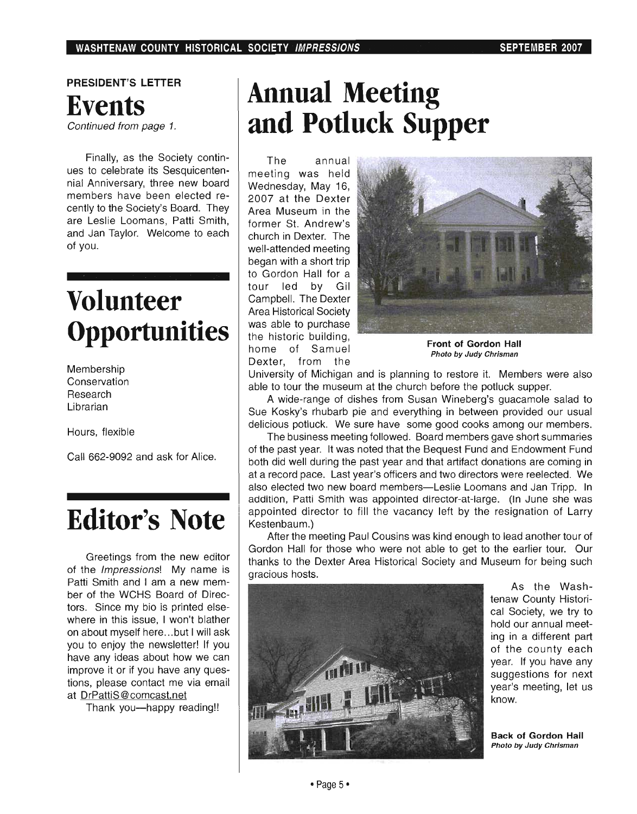### PRESIDENT'S LETTER **Events**  Continued from page 1.

Finally, as the Society continues to celebrate its Sesquicentennial Anniversary, three new board members have been elected recently to the Society's Board. They are Leslie Loomans, Patti Smith, and Jan Taylor. Welcome to each of you.

## **Volunteer Opportunities**

Membership Conservation Research Librarian

Hours, flexible

Call 662-9092 and ask for Alice.

## **Editor's Note**

Greetings from the new editor of the Impressions! My name is Patti Smith and I am a new member of the WCHS Board of Directors. Since my bio is printed elsewhere in this issue, I won't blather on about myself here ... but I will ask you to enjoy the newsletter! If you have any ideas about how we can improve it or if you have any questions, please contact me via email at DrPattiS@comcast.net

Thank you-happy reading!!

## **Annual Meeting and Potluck Supper**

The annual meeting was held Wednesday, May 16, 2007 at the Dexter Area Museum in the former St. Andrew's church in Dexter. The well-attended meeting began with a short trip to Gordon Hall for a tour led by Gil Campbell. The Dexter Area Historical Society was able to purchase the historic building, home of Samuel Dexter, from the



Front of Gordon Hall Photo by Judy Chrisman

University of Michigan and is planning to restore it. Members were also able to tour the museum at the church before the potluck supper.

A wide-range of dishes from Susan Wineberg's guacamole salad to Sue Kosky's rhubarb pie and everything in between provided our usual delicious potluck. We sure have some good cooks among our members.

The business meeting followed. Board members gave short summaries of the past year. It was noted that the Bequest Fund and Endowment Fund both did well during the past year and that artifact donations are coming in at a record pace. Last year's officers and two directors were reelected. We also elected two new board members-Leslie Loomans and Jan Tripp. In addition, Patti Smith was appointed director-at-Iarge. (In June she was appointed director to fill the vacancy left by the resignation of Larry Kestenbaum.)

After the meeting Paul Cousins was kind enough to lead another tour of Gordon Hall for those who were not able to get to the earlier tour. Our thanks to the Dexter Area Historical Society and Museum for being such gracious hosts.



As the Washtenaw County Historical Society, we try to hold our annual meeting in a different part of the county each year. If you have any suggestions for next year's meeting, let us know.

Back of Gordon Hall Photo by Judy Chrisman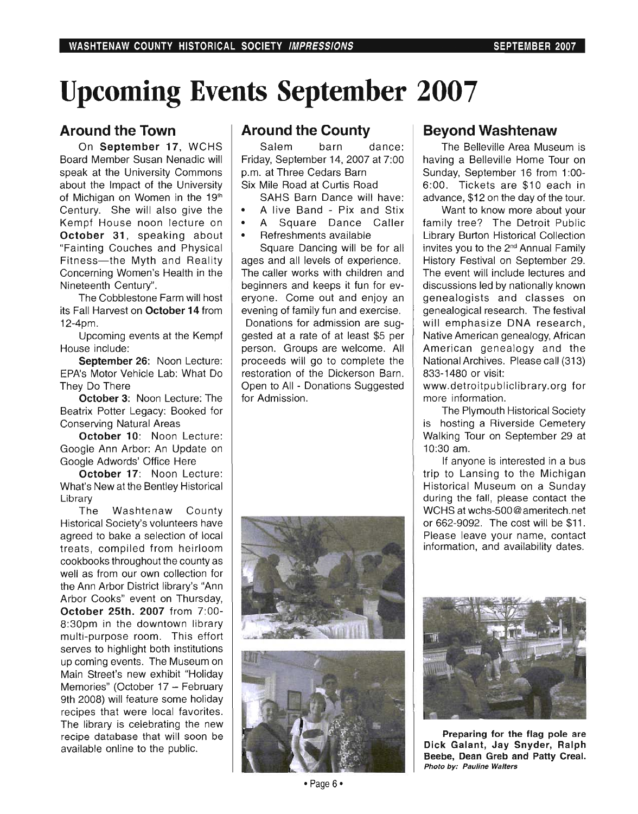## **Upcoming . Events September 2007**

#### **Around the Town**

On September 17, WCHS Board Member Susan Nenadic will speak at the University Commons about the Impact of the University of Michigan on Women in the 19<sup>th</sup> Century. She will also give the Kempf House noon lecture on October 31, speaking about "Fainting Couches and Physical Fitness- the Myth and Reality Concerning Women's Health in the Nineteenth Century".

The Cobblestone Farm will host its Fall Harvest on October 14 from 12-4pm.

Upcoming events at the Kempf House include:

September 26: Noon Lecture: EPA's Motor Vehicle Lab: What Do They Do There

October 3: Noon Lecture: The Beatrix Potter Legacy: Booked for Conserving Natural Areas

October 10: Noon Lecture: Google Ann Arbor: An Update on Google Adwords' Office Here

October 17: Noon Lecture: What's New at the Bentley Historical Library

The Washtenaw County Historical Society's volunteers have agreed to bake a selection of local treats, compiled from heirloom cookbooks throughout the county as well as from our own collection for the Ann Arbor District library's "Ann Arbor Cooks" event on Thursday, October 25th. 2007 from 7:00- 8:30pm in the downtown library multi-purpose room. This effort serves to highlight both institutions up coming events. The Museum on Main Street's new exhibit "Holiday Memories" (October 17 - February 9th 2008) will feature some holiday recipes that were local favorites. The library is celebrating the new recipe database that will soon be available online to the public.

#### **Around the County**

Salem barn dance: Friday, September 14, 2007 at 7:00 p.m. at Three Cedars Barn Six Mile Road at Curtis Road

SAHS Barn Dance will have:

- A live Band Pix and Stix
- A Square Dance Caller
- Refreshments available

Square Dancing will be for all ages and all levels of experience. The caller works with children and beginners and keeps it fun for everyone. Come out and enjoy an evening of family fun and exercise. Donations for admission are suggested at a rate of at least \$5 per person. Groups are welcome. All proceeds will go to complete the restoration of the Dickerson Barn. Open to All - Donations Suggested for Admission.





#### **Beyond Washtenaw**

The Belleville Area Museum is having a Belleville Home Tour on Sunday, September 16 from 1:00-6:00. Tickets are \$10 each in advance, \$12 on the day of the tour.

Want to know more about your family tree? The Detroit Public Library Burton Historical Collection invites you to the 2<sup>nd</sup> Annual Family History Festival on September 29. The event will include lectures and discussions led by nationally known genealogists and classes on genealogical research. The festival will emphasize DNA research. Native American genealogy, African American genealogy and the National Archives. Please call (313) 833-1480 or visit:

www.detroitpubliclibrary.org for more information.

The Plymouth Historical Society is hosting a Riverside Cemetery Walking Tour on September 29 at 10:30 am.

If anyone is interested in a bus trip to Lansing to the Michigan Historical Museum on a Sunday during the fall, please contact the WCHS at wchs-500@ameritech.net or 662-9092. The cost will be \$11. Please leave your name, contact information, and availability dates.



Preparing for the flag pole are Dick Galant, Jay Snyder, Ralph Beebe, Dean Greb and Patty Creal. Photo by: Pauline Walters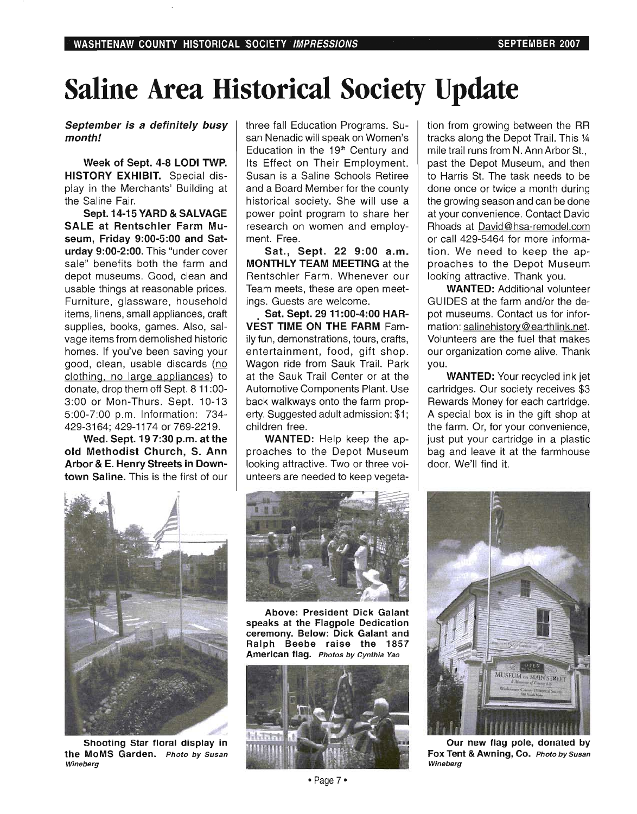## **Saline Area Historical Society Update**

**September is a definitely busy month!** 

**Week of Sept. 4-8 LODI TWP. HISTORY EXHIBIT.** Special display in the Merchants' Building at the Saline Fair.

Sept. 14-15 **YARD & SALVAGE SALE at Rentschler Farm Museum, Friday 9:00-5:00 and Saturday 9:00-2:00.** This "under cover sale" benefits both the farm and depot museums. Good, clean and usable things at reasonable prices. Furniture, glassware, household items, linens, small appliances, craft supplies, books, games. Also, salvage items from demolished historic homes. If you've been saving your good, clean, usable discards (no clothing, no large appliances) to donate, drop them off Sept. 8 **11** :00- 3:00 or Mon-Thurs. Sept. 10-13 5:00-7:00 p.m. Information: 734- 429-3164: 429-1174 or 769-2219.

**Wed. Sept. 19 7:30 p.m. at the old Methodist Church, S. Ann Arbor & E. Henry Streets in Downtown Saline.** This is the first of our three fall Education Programs. Susan Nenadic will speak on Women's Education in the  $19<sup>th</sup>$  Century and Its Effect on Their Employment. Susan is a Saline Schools Retiree and a Board Member for the county historical society. She will use a power point program to share her research on women and employment. Free.

**Sat., Sept. 22 9:00 a.m. MONTHLY TEAM MEETING** at the Rentschler Farm. Whenever our Team meets, these are open meetings. Guests are welcome.

. **Sat. Sept. 29 11 :00-4:00 HAR-VEST TIME ON THE FARM** Family fun, demonstrations, tours, crafts, entertainment, food, gift shop. Wagon ride from Sauk Trail. Park at the Sauk Trail Center or at the Automotive Components Plant. Use back walkways onto the farm property. Suggested adult admission: \$1; children free.

**WANTED:** Help keep the approaches to the Depot Museum looking attractive. Two or three volunteers are needed to keep vegeta-



**Shooting Star floral display in**  the MoMS Garden. Photo by Susan Wineberg



**Above: President Dick Galant speaks at the Flagpole Dedication ceremony. Below: Dick Galant and Ralph Beebe raise the 1857 American flag.** Photos by Cynthia Yao



tion from growing between the RR tracks along the Depot Trail. This % mile trail runs from N. Ann Arbor St., past the Depot Museum, and then to Harris St. The task needs to be done once or twice a month during the growing season and can be done at your convenience. Contact David Rhoads at David@hsa-remodel.com or call 429-5464 for more information. We need to keep the approaches to the Depot Museum looking attractive. Thank you.

**WANTED:** Additional volunteer GUIDES at the farm and/or the depot museums. Contact us for information: salinehistory@earthlink.net. Volunteers are the fuel that makes our organization come alive. Thank you.

**WANTED:** Your recycled ink jet cartridges. Our society receives \$3 Rewards Money for each cartridge. A special box is in the gift shop at the farm. Or, for your convenience, just put your cartridge in a plastic bag and leave it at the farmhouse door. We'll find it.



**Our new flag pole, donated by Fox Tent & Awning, Co.** Photo by Susan Wineberg